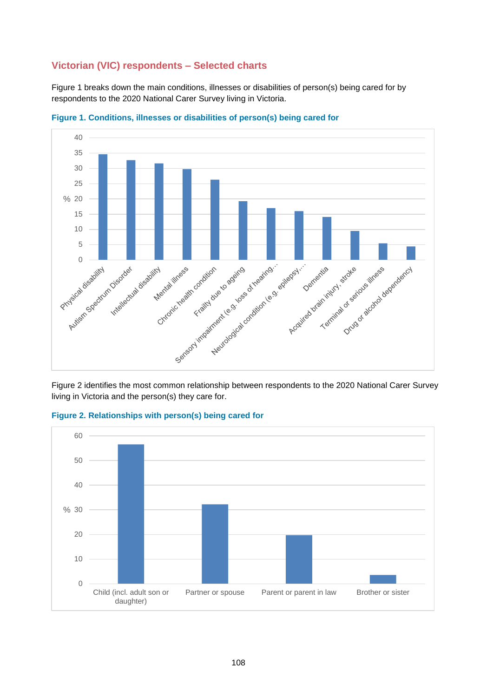## **Victorian (VIC) respondents – Selected charts**

Figure 1 breaks down the main conditions, illnesses or disabilities of person(s) being cared for by respondents to the 2020 National Carer Survey living in Victoria.



**Figure 1. Conditions, illnesses or disabilities of person(s) being cared for**

Figure 2 identifies the most common relationship between respondents to the 2020 National Carer Survey living in Victoria and the person(s) they care for.



**Figure 2. Relationships with person(s) being cared for**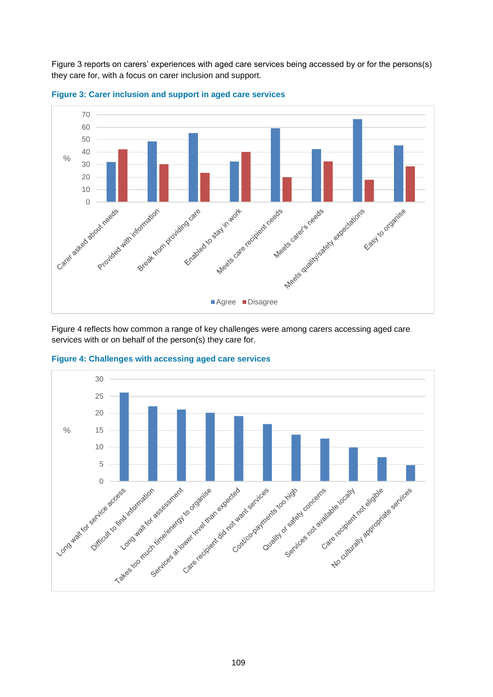Figure 3 reports on carers' experiences with aged care services being accessed by or for the persons(s) they care for, with a focus on carer inclusion and support.





Figure 4 reflects how common a range of key challenges were among carers accessing aged care services with or on behalf of the person(s) they care for.



**Figure 4: Challenges with accessing aged care services**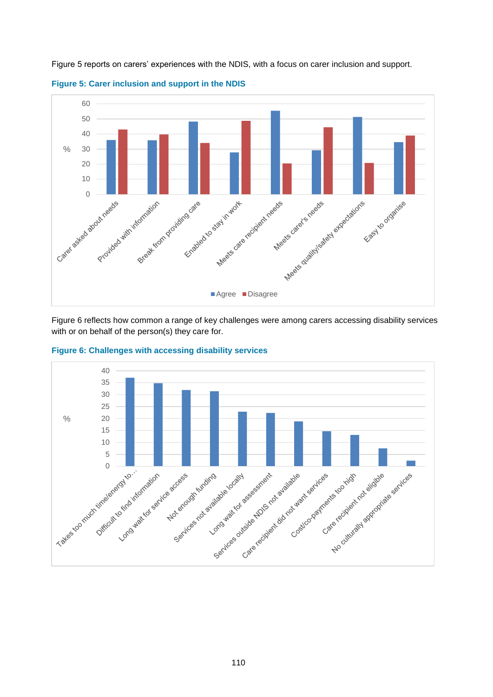

Figure 5 reports on carers' experiences with the NDIS, with a focus on carer inclusion and support.



Figure 6 reflects how common a range of key challenges were among carers accessing disability services with or on behalf of the person(s) they care for.



**Figure 6: Challenges with accessing disability services**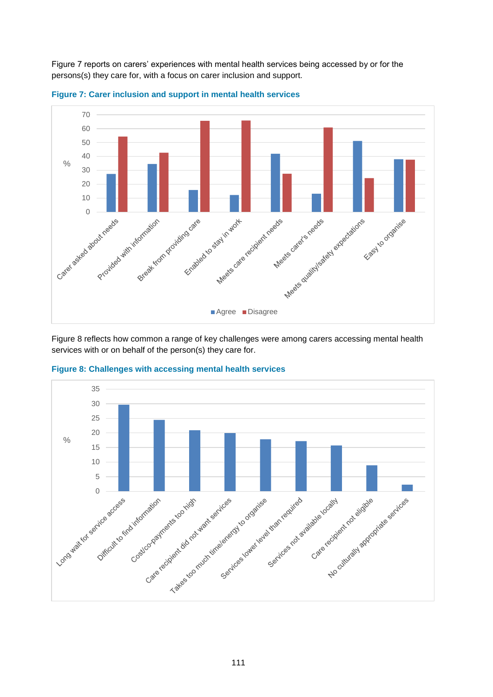Figure 7 reports on carers' experiences with mental health services being accessed by or for the persons(s) they care for, with a focus on carer inclusion and support.





Figure 8 reflects how common a range of key challenges were among carers accessing mental health services with or on behalf of the person(s) they care for.



**Figure 8: Challenges with accessing mental health services**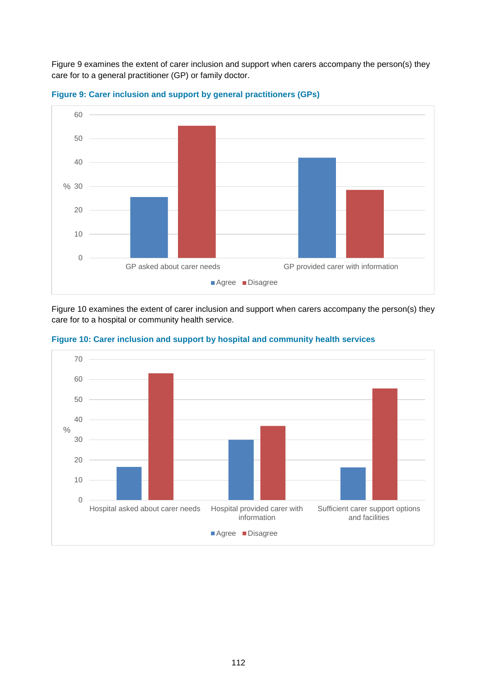Figure 9 examines the extent of carer inclusion and support when carers accompany the person(s) they care for to a general practitioner (GP) or family doctor.





Figure 10 examines the extent of carer inclusion and support when carers accompany the person(s) they care for to a hospital or community health service.